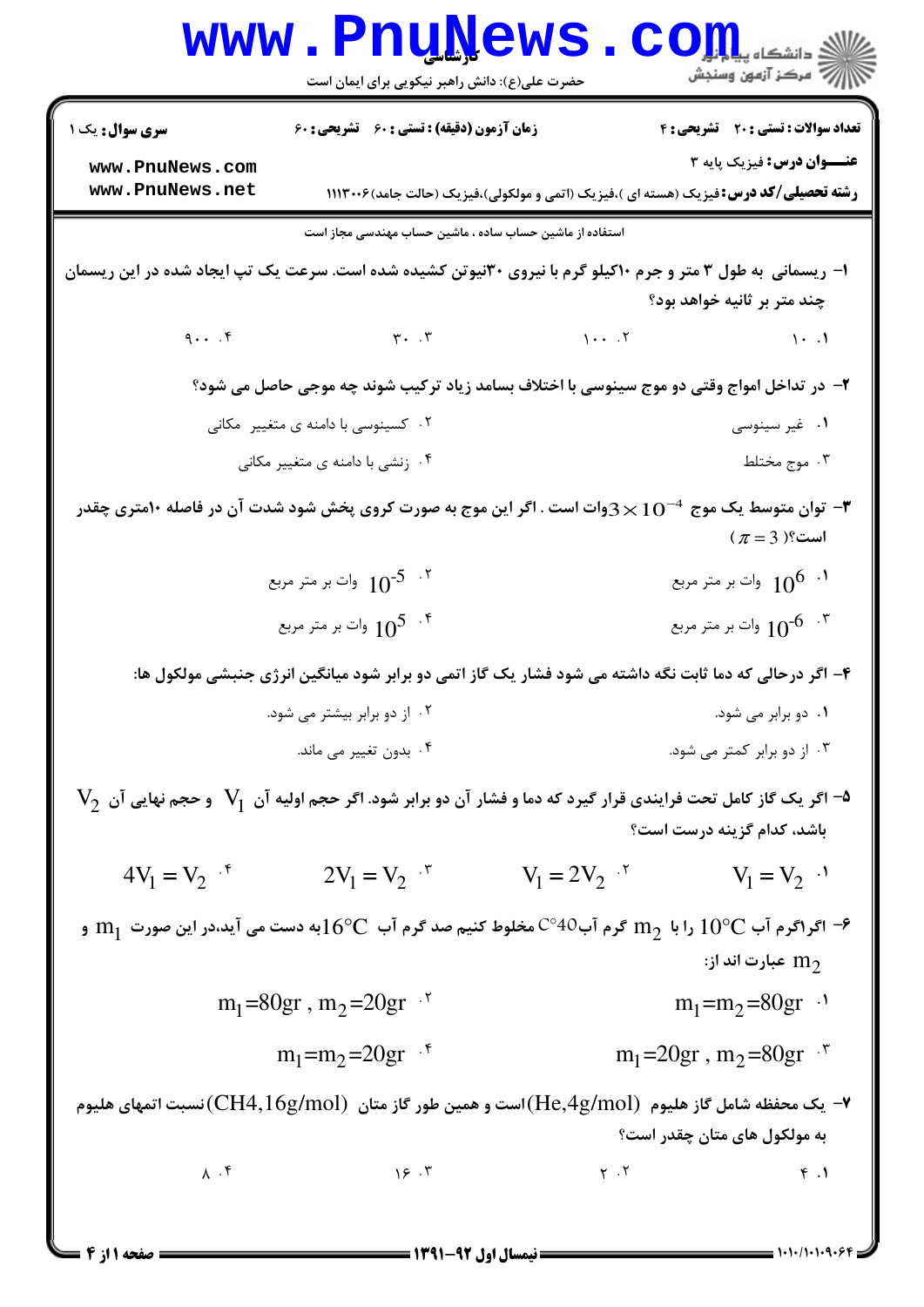|                                                                                                                                                                                      | <b>www.PnuNews</b><br>حضرت علی(ع): دانش راهبر نیکویی برای ایمان است                     |                | $\mathbf{C}$ و دانشگاه پیا $\mathbf{R}$<br>أأزاته مركز آزمون وسنجش                                                         |  |  |
|--------------------------------------------------------------------------------------------------------------------------------------------------------------------------------------|-----------------------------------------------------------------------------------------|----------------|----------------------------------------------------------------------------------------------------------------------------|--|--|
| سری سوال: یک ۱                                                                                                                                                                       | زمان آزمون (دقیقه) : تستی : 60 ٪ تشریحی : 60                                            |                | تعداد سوالات : تستي : 20 - تشريحي : 4                                                                                      |  |  |
| www.PnuNews.com<br>www.PnuNews.net                                                                                                                                                   |                                                                                         |                | عنـــوان درس: فيزيک پايه ٣<br><b>رشته تحصیلی/کد درس:</b> فیزیک (هسته ای )،فیزیک (اتمی و مولکولی)،فیزیک (حالت جامد)۲۰۰۶(۱۱۱ |  |  |
| استفاده از ماشین حساب ساده ، ماشین حساب مهندسی مجاز است                                                                                                                              |                                                                                         |                |                                                                                                                            |  |  |
| ۱– ریسمانی به طول ۳ متر و جرم ۱۰کیلو گرم با نیروی ۳۰نیوتن کشیده شده است. سرعت یک تپ ایجاد شده در این ریسمان<br>چند متر بر ثانیه خواهد بود؟                                           |                                                                                         |                |                                                                                                                            |  |  |
|                                                                                                                                                                                      | $9 \cdot \cdot \cdot$ $5 \cdot \cdot \cdot$ $7 \cdot \cdot \cdot$ $7 \cdot \cdot \cdot$ |                | $\mathcal{N}$ . $\mathcal{N}$                                                                                              |  |  |
| ۲- در تداخل امواج وقتی دو موج سینوسی با اختلاف بسامد زیاد ترکیب شوند چه موجی حاصل می شود؟                                                                                            |                                                                                         |                |                                                                                                                            |  |  |
|                                                                                                                                                                                      | ۰۲ کسینوسی با دامنه ی متغییر مکانی                                                      |                | ۰۱ غیر سینوسی                                                                                                              |  |  |
|                                                                                                                                                                                      | ۰۴ زنشی با دامنه ی متغییر مکانی                                                         |                | ۰۳ موج مختلط                                                                                                               |  |  |
| توان متوسط یک موج $10^{-4}$ وات است . اگر این موج به صورت کروی پخش شود شدت آن در فاصله ۱۰متری چقدر $\blacktriangledown$<br>$(\pi = 3)$ است؟                                          |                                                                                         |                |                                                                                                                            |  |  |
|                                                                                                                                                                                      | ا وات بر متر مربع $10^{-5}$ $^{-1}$                                                     |                |                                                                                                                            |  |  |
|                                                                                                                                                                                      | وات بر متر مربع $10^5$ $\,$ $^{\circ}$                                                  |                | ا وات بر متر مربع $10^{-6}$ $\,$ $\,$                                                                                      |  |  |
| ۴- اگر درحالی که دما ثابت نگه داشته می شود فشار یک گاز اتمی دو برابر شود میانگین انرژی جنبشی مولکول ها:                                                                              |                                                                                         |                |                                                                                                                            |  |  |
|                                                                                                                                                                                      | ۰۲ از دو برابر بیشتر می شود.                                                            |                | ۰۱ دو برابر می شود.                                                                                                        |  |  |
|                                                                                                                                                                                      | ۰۴ بدون تغییر می ماند.                                                                  |                | ۰۳ از دو برابر کمتر می شود.                                                                                                |  |  |
| $\rm\,V_{2}$ اگر یک گاز کامل تحت فرایندی قرار گیرد که دما و فشار آن دو برابر شود. اگر حجم اولیه آن $\rm\,V_{1}$ و حجم نهایی آن $\rm\,V_{2}$<br>باشد، کدام گزینه درست است؟            |                                                                                         |                |                                                                                                                            |  |  |
| $4V_1 = V_2$ $\cdot$ <sup>6</sup>                                                                                                                                                    | $2V_1 = V_2$ $\cdot$                                                                    | $V_1 = 2V_2$ . | $V_1 = V_2$ <sup></sup>                                                                                                    |  |  |
| $\rm m_1$ اگر اگرم آب $\rm O^oC$ را با $\rm m_2$ گرم آب $\rm C^{o}$ مخلوط کنیم صد گرم آب $\rm O^oC$ به دست می آید،در این صورت $\rm m_1$ و $\rm P$<br>عبارت اند از: ${\rm m}_{\rm 2}$ |                                                                                         |                |                                                                                                                            |  |  |
| $m_1 = 80gr$ , $m_2 = 20gr$ .                                                                                                                                                        |                                                                                         |                | $m_1 = m_2 = 80gr$                                                                                                         |  |  |
|                                                                                                                                                                                      | $m_1 = m_2 = 20gr$ .                                                                    |                | $m_1 = 20gr$ , $m_2 = 80gr$ .                                                                                              |  |  |
| — یک محفظه شامل گاز هلیوم $(\rm He, \rm 4g/mol)$ است و همین طور گاز متان $(\rm CH4, \rm 16g/mol)$ نسبت اتمهای هلیوم (He $\sim$<br>به مولکول های متان چقدر است؟                       |                                                                                         |                |                                                                                                                            |  |  |
|                                                                                                                                                                                      |                                                                                         | $Y \cdot Y$    | $\uparrow$ .1                                                                                                              |  |  |
|                                                                                                                                                                                      |                                                                                         |                |                                                                                                                            |  |  |

 $= 1.1 \cdot 11.1 \cdot 9.$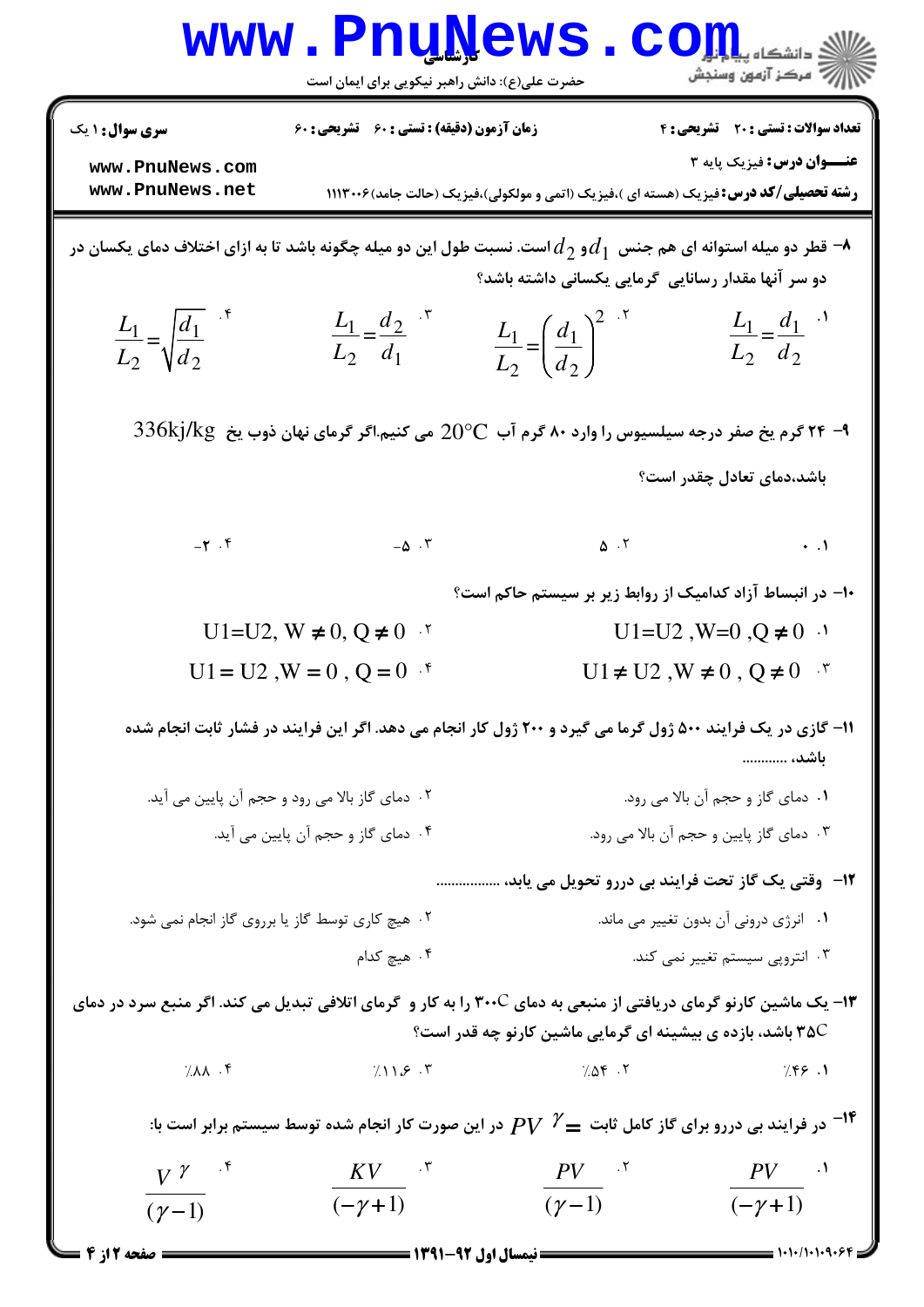| www.PnuNews<br>COIL dépuis<br>رآ مرکز آزمون وسنجش<br>حضرت علی(ع): دانش راهبر نیکویی برای ایمان است                                                                                                                                            |                                                     |                                                                                                          |                                                                          |  |  |  |
|-----------------------------------------------------------------------------------------------------------------------------------------------------------------------------------------------------------------------------------------------|-----------------------------------------------------|----------------------------------------------------------------------------------------------------------|--------------------------------------------------------------------------|--|--|--|
| <b>سری سوال :</b> ۱ یک<br>www.PnuNews.com                                                                                                                                                                                                     | <b>زمان آزمون (دقیقه) : تستی : 60 ٪ تشریحی : 60</b> |                                                                                                          | تعداد سوالات : تستى : 20 تشريحي : 4<br><b>عنـــوان درس:</b> فيزيک پايه ٣ |  |  |  |
| www.PnuNews.net<br><b>رشته تحصیلی/کد درس:</b> فیزیک (هسته ای )،فیزیک (اتمی و مولکولی)،فیزیک (حالت جامد)۲۰۰۶(۱۱۱<br>قطر دو میله استوانه ای هم جنس $d_1$ و $d_2$ است. نسبت طول این دو میله چگونه باشد تا به ازای اختلاف دمای یکسان در $\bullet$ |                                                     |                                                                                                          |                                                                          |  |  |  |
| $rac{L_1}{L_2} = \sqrt{\frac{d_1}{d_2}}$                                                                                                                                                                                                      | $rac{L_1}{L_2} = \frac{d_2}{d_1}$ .*                | دو سر آنها مقدار رسانایی گرمایی یکسانی داشته باشد؟<br>$\frac{L_1}{L_2} = \left(\frac{d_1}{d_2}\right)^2$ | $L_1 = \frac{d_1}{d_1}$<br>$L_2$ $d_2$                                   |  |  |  |
| $\rm 336kj/kg$ گرم یخ صفر درجه سیلسیوس را وارد ۸۰ گرم آب $\rm C$ 20 می کنیم.اگر گرمای نهان ذوب یخ $\rm kg$ 33 $\rm k$                                                                                                                         |                                                     |                                                                                                          |                                                                          |  |  |  |
|                                                                                                                                                                                                                                               |                                                     |                                                                                                          | باشد،دمای تعادل چقدر است؟                                                |  |  |  |
| $-\tau$ . ۴                                                                                                                                                                                                                                   | $-\Delta$ . $\Upsilon$                              | $\Delta$ . T                                                                                             | $\cdot \cdot \cdot$                                                      |  |  |  |
|                                                                                                                                                                                                                                               |                                                     | ۱۰– در انبساط آزاد کدامیک از روابط زیر بر سیستم حاکم است؟                                                |                                                                          |  |  |  |
| $U1=U2, W \neq 0, Q \neq 0$ '                                                                                                                                                                                                                 |                                                     |                                                                                                          | $U1=U2$ , $W=0$ , $Q \neq 0$ .                                           |  |  |  |
| $U1 = U2$ , $W = 0$ , $Q = 0$ .                                                                                                                                                                                                               |                                                     | $U1 \neq U2$ , $W \neq 0$ , $Q \neq 0$ *                                                                 |                                                                          |  |  |  |
| ۱۱- گازی در یک فرایند ۵۰۰ ژول گرما می گیرد و ۲۰۰ ژول کار انجام می دهد. اگر این فرایند در فشار ثابت انجام شده<br>باشد،                                                                                                                         |                                                     |                                                                                                          |                                                                          |  |  |  |
| ۰۲ دمای گاز بالا می رود و حجم آن پایین می آید.                                                                                                                                                                                                |                                                     | ٠١ دماي گاز و حجم أن بالا مي رود.                                                                        |                                                                          |  |  |  |
| ۰۴ دمای گاز و حجم آن پایین می آید.                                                                                                                                                                                                            |                                                     | ٠٣ دمای گاز پايين و حجم آن بالا مي رود.                                                                  |                                                                          |  |  |  |
| ۱۲-۔وقتی یک گاز تحت فرایند بی دررو تحویل می یابد،                                                                                                                                                                                             |                                                     |                                                                                                          |                                                                          |  |  |  |
| ۰۲ هیچ کاری توسط گاز یا برروی گاز انجام نمی شود.                                                                                                                                                                                              |                                                     | ٠١ انرژى درونى آن بدون تغيير مى ماند.                                                                    |                                                                          |  |  |  |
| ۰۴ هیچ کدام                                                                                                                                                                                                                                   |                                                     | ۰۳ انتروپی سیستم تغییر نمی کند.                                                                          |                                                                          |  |  |  |
| ۱۳- یک ماشین کارنو گرمای دریافتی از منبعی به دمای ۳۰۰C را به کار و گرمای اتلافی تبدیل می کند. اگر منبع سرد در دمای<br><b>۳۵</b> C باشد، بازده ی بیشینه ای گرمایی ماشین کارنو چه قدر است؟                                                      |                                                     |                                                                                                          |                                                                          |  |  |  |
| 7.11                                                                                                                                                                                                                                          |                                                     | $7.11.5.7$ $7.09.7$ $7.09.7$ $7.92.1$                                                                    |                                                                          |  |  |  |
| در فرایند بی دررو برای گاز کامل ثابت $V\mathrel{{\mathscr N}}=P$ در این صورت کار انجام شده توسط سیستم برابر است با: $^{-1}$                                                                                                                   |                                                     |                                                                                                          |                                                                          |  |  |  |
| $V^{\gamma}$ .                                                                                                                                                                                                                                | $KV$ .                                              | $PV$ .                                                                                                   | $PV$ $\qquad \cdot \text{?}$                                             |  |  |  |
| $(\gamma - 1)$                                                                                                                                                                                                                                | $(-\gamma+1)$                                       | $(\gamma - 1)$                                                                                           | $(-\gamma+1)$                                                            |  |  |  |
| <b>ـــــــــــ صفحه 2 از 4</b>                                                                                                                                                                                                                |                                                     |                                                                                                          |                                                                          |  |  |  |